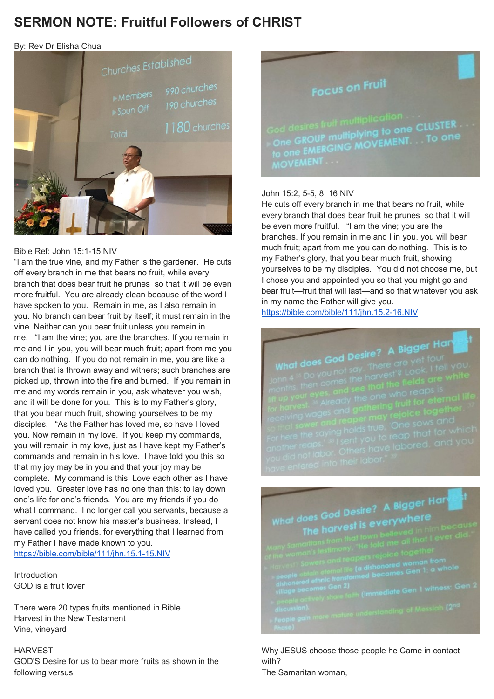### **SERMON NOTE: Fruitful Followers of CHRIST**

By: Rev Dr Elisha Chua



#### Bible Ref: John 15:1-15 NIV

"I am the true vine, and my Father is the gardener. He cuts off every branch in me that bears no fruit, while every branch that does bear fruit he prunes so that it will be even more fruitful. You are already clean because of the word I have spoken to you. Remain in me, as I also remain in you. No branch can bear fruit by itself; it must remain in the vine. Neither can you bear fruit unless you remain in me. "I am the vine; you are the branches. If you remain in me and I in you, you will bear much fruit; apart from me you can do nothing. If you do not remain in me, you are like a branch that is thrown away and withers; such branches are picked up, thrown into the fire and burned. If you remain in me and my words remain in you, ask whatever you wish, and it will be done for you. This is to my Father's glory, that you bear much fruit, showing yourselves to be my disciples. "As the Father has loved me, so have I loved you. Now remain in my love. If you keep my commands, you will remain in my love, just as I have kept my Father's commands and remain in his love. I have told you this so that my joy may be in you and that your joy may be complete. My command is this: Love each other as I have loved you. Greater love has no one than this: to lay down one's life for one's friends. You are my friends if you do what I command. I no longer call you servants, because a servant does not know his master's business. Instead, I have called you friends, for everything that I learned from my Father I have made known to you. <https://bible.com/bible/111/jhn.15.1-15.NIV>

Introduction GOD is a fruit lover

There were 20 types fruits mentioned in Bible Harvest in the New Testament Vine, vineyard

#### **HARVEST**

GOD'S Desire for us to bear more fruits as shown in the following versus



### John 15:2, 5-5, 8, 16 NIV

He cuts off every branch in me that bears no fruit, while every branch that does bear fruit he prunes so that it will be even more fruitful. "I am the vine; you are the branches. If you remain in me and I in you, you will bear much fruit; apart from me you can do nothing. This is to my Father's glory, that you bear much fruit, showing yourselves to be my disciples. You did not choose me, but I chose you and appointed you so that you might go and bear fruit—fruit that will last—and so that whatever you ask in my name the Father will give you.

<https://bible.com/bible/111/jhn.15.2-16.NIV>

## What does God Desire? A Bigger Hall<br>What does God Desire? A Bigger four God Desire? A bigger four<br>bu not say, There are yet four<br>comes the harvest'? Look, I te

# What does God Desire? A Bigger Hart<br>The harvest is everywhere  $\frac{1}{100}$  God Desire? A proceed of  $\frac{1}{100}$  and  $\frac{1}{100}$  believed in Figure

Why JESUS choose those people he Came in contact with?

The Samaritan woman,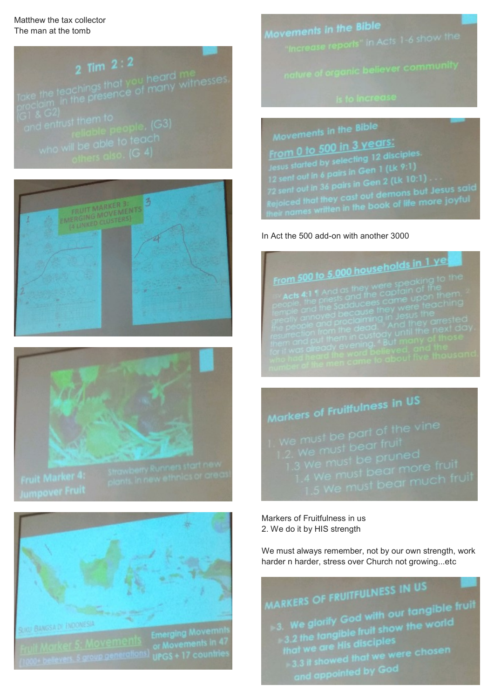Matthew the tax collector The man at the tomb









**EXAMPLE AND ANDONESSA DEPARTMENT SERVICES AND ACCEPTED SERVICES SERVICES SERVICES SERVICES (1900)** the district of the district (1900) the district (1900) the district (1900) the district (1900) the district (1900) the di

Movements in the Bible r**ements in the BIDIe**<br>"Increase reports" in Acts 1-6 show the

Movements in the Bible Movements in 3 years:<br>From 0 to 500 in 3 years: Movement<br>
From 0 to 500 in 3 years:<br>
Jesus started by selecting 12 disciples.<br>
12 sent out in 6 pairs in Gen 1 (Lk 9:1)<br>
72 sent out in 36 pairs in Gen 2 (Lk 10:1)<br>
72 sent out in 36 pairs in Gen 2 (Lk 10:1)<br>
Rejoiced that

### In Act the 500 add-on with another 3000



Markers of Frumont<br>
1. We must be part of the vine<br>
1.2. We must be pruned<br>
1.3 We must be pruned<br>
1.4 We must bear more fruit<br>
1.5 We must bear much fruit

Markers of Fruitfulness in us 2. We do it by HIS strength

We must always remember, not by our own strength, work harder n harder, stress over Church not growing...etc

### MARKERS OF FRUITFULNESS IN US

ARKERS OF FRUITPLESS<br>3. We glorify God with our tangible fruit  $\frac{3}{100}$ . We glorify God with our tangible is<br> $\frac{3.2 \text{ the tangle fruit}$  show the world<br>that we are His disciples and we are His disciples<br>3.3 it showed that we were chosen<br>3.3 it showed that we were chosen 3.3 if showed may we the